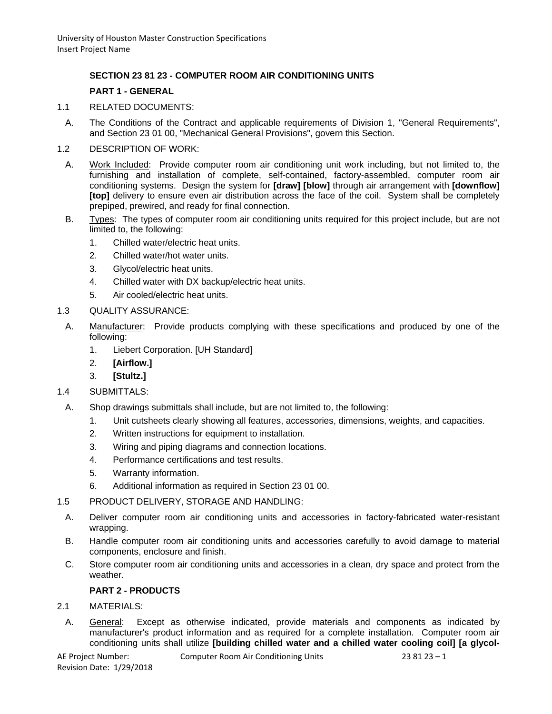# **SECTION 23 81 23 - COMPUTER ROOM AIR CONDITIONING UNITS**

### **PART 1 - GENERAL**

- 1.1 RELATED DOCUMENTS:
	- A. The Conditions of the Contract and applicable requirements of Division 1, "General Requirements", and Section 23 01 00, "Mechanical General Provisions", govern this Section.
- 1.2 DESCRIPTION OF WORK:
	- A. Work Included: Provide computer room air conditioning unit work including, but not limited to, the furnishing and installation of complete, self-contained, factory-assembled, computer room air conditioning systems. Design the system for **[draw] [blow]** through air arrangement with **[downflow] [top]** delivery to ensure even air distribution across the face of the coil. System shall be completely prepiped, prewired, and ready for final connection.
	- B. Types: The types of computer room air conditioning units required for this project include, but are not limited to, the following:
		- 1. Chilled water/electric heat units.
		- 2. Chilled water/hot water units.
		- 3. Glycol/electric heat units.
		- 4. Chilled water with DX backup/electric heat units.
		- 5. Air cooled/electric heat units.
- 1.3 QUALITY ASSURANCE:
	- A. Manufacturer: Provide products complying with these specifications and produced by one of the following:
		- 1. Liebert Corporation. [UH Standard]
		- 2. **[Airflow.]**
		- 3. **[Stultz.]**
- 1.4 SUBMITTALS:
- A. Shop drawings submittals shall include, but are not limited to, the following:
	- 1. Unit cutsheets clearly showing all features, accessories, dimensions, weights, and capacities.
	- 2. Written instructions for equipment to installation.
	- 3. Wiring and piping diagrams and connection locations.
	- 4. Performance certifications and test results.
	- 5. Warranty information.
	- 6. Additional information as required in Section 23 01 00.
- 1.5 PRODUCT DELIVERY, STORAGE AND HANDLING:
- A. Deliver computer room air conditioning units and accessories in factory-fabricated water-resistant wrapping.
- B. Handle computer room air conditioning units and accessories carefully to avoid damage to material components, enclosure and finish.
- C. Store computer room air conditioning units and accessories in a clean, dry space and protect from the weather.

## **PART 2 - PRODUCTS**

#### 2.1 MATERIALS:

A. General: Except as otherwise indicated, provide materials and components as indicated by manufacturer's product information and as required for a complete installation. Computer room air conditioning units shall utilize **[building chilled water and a chilled water cooling coil] [a glycol-**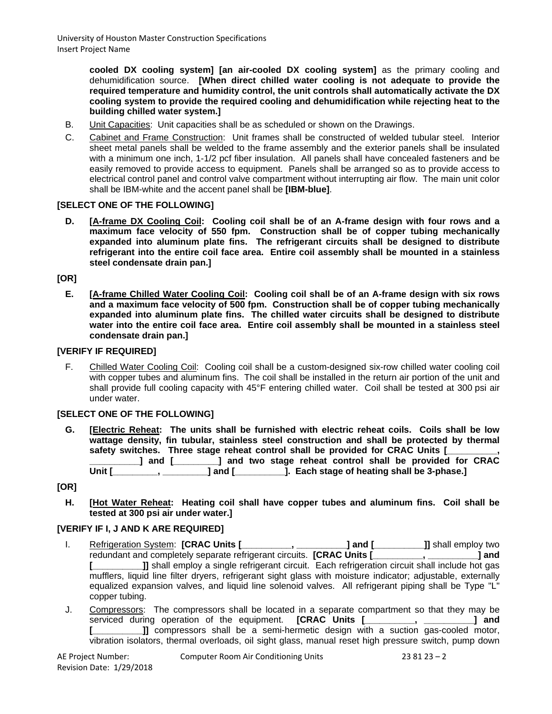**cooled DX cooling system] [an air-cooled DX cooling system]** as the primary cooling and dehumidification source. **[When direct chilled water cooling is not adequate to provide the required temperature and humidity control, the unit controls shall automatically activate the DX cooling system to provide the required cooling and dehumidification while rejecting heat to the building chilled water system.]**

- B. Unit Capacities: Unit capacities shall be as scheduled or shown on the Drawings.
- C. Cabinet and Frame Construction: Unit frames shall be constructed of welded tubular steel. Interior sheet metal panels shall be welded to the frame assembly and the exterior panels shall be insulated with a minimum one inch, 1-1/2 pcf fiber insulation. All panels shall have concealed fasteners and be easily removed to provide access to equipment. Panels shall be arranged so as to provide access to electrical control panel and control valve compartment without interrupting air flow. The main unit color shall be IBM-white and the accent panel shall be **[IBM-blue]**.

### **[SELECT ONE OF THE FOLLOWING]**

**D. [A-frame DX Cooling Coil: Cooling coil shall be of an A-frame design with four rows and a maximum face velocity of 550 fpm. Construction shall be of copper tubing mechanically expanded into aluminum plate fins. The refrigerant circuits shall be designed to distribute refrigerant into the entire coil face area. Entire coil assembly shall be mounted in a stainless steel condensate drain pan.]**

### **[OR]**

**E. [A-frame Chilled Water Cooling Coil: Cooling coil shall be of an A-frame design with six rows and a maximum face velocity of 500 fpm. Construction shall be of copper tubing mechanically expanded into aluminum plate fins. The chilled water circuits shall be designed to distribute water into the entire coil face area. Entire coil assembly shall be mounted in a stainless steel condensate drain pan.]**

### **[VERIFY IF REQUIRED]**

F. Chilled Water Cooling Coil: Cooling coil shall be a custom-designed six-row chilled water cooling coil with copper tubes and aluminum fins. The coil shall be installed in the return air portion of the unit and shall provide full cooling capacity with 45°F entering chilled water. Coil shall be tested at 300 psi air under water.

#### **[SELECT ONE OF THE FOLLOWING]**

**G. [Electric Reheat: The units shall be furnished with electric reheat coils. Coils shall be low wattage density, fin tubular, stainless steel construction and shall be protected by thermal**  safety switches. Three stage reheat control shall be provided for CRAC Units [ **\_\_\_\_\_\_\_\_\_\_] and [\_\_\_\_\_\_\_\_\_] and two stage reheat control shall be provided for CRAC Unit [\_\_\_\_\_\_\_\_\_, \_\_\_\_\_\_\_\_\_] and [\_\_\_\_\_\_\_\_\_\_]. Each stage of heating shall be 3-phase.]**

#### **[OR]**

**H. [Hot Water Reheat: Heating coil shall have copper tubes and aluminum fins. Coil shall be tested at 300 psi air under water.]**

#### **[VERIFY IF I, J AND K ARE REQUIRED]**

- I. Refrigeration System: **[CRAC Units [\_\_\_\_\_\_\_\_\_\_, \_\_\_\_\_\_\_\_\_\_] and [\_\_\_\_\_\_\_\_\_\_]]** shall employ two redundant and completely separate refrigerant circuits. **[CRAC Units [\_\_\_\_\_\_\_\_\_\_, \_\_\_\_\_\_\_\_\_\_] and [\_\_\_\_\_\_\_\_\_\_]]** shall employ a single refrigerant circuit. Each refrigeration circuit shall include hot gas mufflers, liquid line filter dryers, refrigerant sight glass with moisture indicator; adjustable, externally equalized expansion valves, and liquid line solenoid valves. All refrigerant piping shall be Type "L" copper tubing.
- J. Compressors: The compressors shall be located in a separate compartment so that they may be serviced during operation of the equipment. **[CRAC Units [\_\_\_\_\_\_\_\_\_\_, \_\_\_\_\_\_\_\_\_\_] and [\_\_\_\_\_\_\_\_\_\_]]** compressors shall be a semi-hermetic design with a suction gas-cooled motor, vibration isolators, thermal overloads, oil sight glass, manual reset high pressure switch, pump down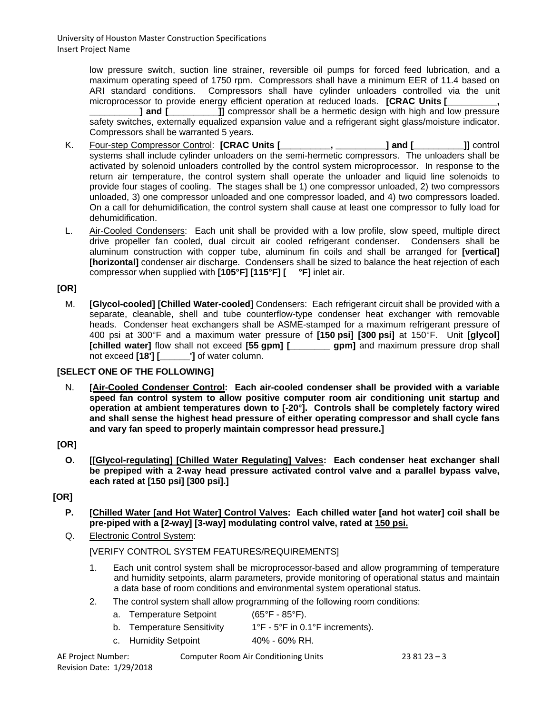low pressure switch, suction line strainer, reversible oil pumps for forced feed lubrication, and a maximum operating speed of 1750 rpm. Compressors shall have a minimum EER of 11.4 based on ARI standard conditions. Compressors shall have cylinder unloaders controlled via the unit microprocessor to provide energy efficient operation at reduced loads. **[CRAC Units [\_\_\_\_\_\_\_\_\_\_,** 

**1** and [**external** and **[2014]** compressor shall be a hermetic design with high and low pressure safety switches, externally equalized expansion value and a refrigerant sight glass/moisture indicator. Compressors shall be warranted 5 years.

- K. Four-step Compressor Control: **[CRAC Units [\_\_\_\_\_\_\_\_\_\_, \_\_\_\_\_\_\_\_\_\_] and [\_\_\_\_\_\_\_\_\_\_]]** control systems shall include cylinder unloaders on the semi-hermetic compressors. The unloaders shall be activated by solenoid unloaders controlled by the control system microprocessor. In response to the return air temperature, the control system shall operate the unloader and liquid line solenoids to provide four stages of cooling. The stages shall be 1) one compressor unloaded, 2) two compressors unloaded, 3) one compressor unloaded and one compressor loaded, and 4) two compressors loaded. On a call for dehumidification, the control system shall cause at least one compressor to fully load for dehumidification.
- L. Air-Cooled Condensers: Each unit shall be provided with a low profile, slow speed, multiple direct drive propeller fan cooled, dual circuit air cooled refrigerant condenser. Condensers shall be aluminum construction with copper tube, aluminum fin coils and shall be arranged for **[vertical] [horizontal]** condenser air discharge. Condensers shall be sized to balance the heat rejection of each compressor when supplied with **[105°F] [115°F] [ °F]** inlet air.

## **[OR]**

M. **[Glycol-cooled] [Chilled Water-cooled]** Condensers: Each refrigerant circuit shall be provided with a separate, cleanable, shell and tube counterflow-type condenser heat exchanger with removable heads. Condenser heat exchangers shall be ASME-stamped for a maximum refrigerant pressure of 400 psi at 300°F and a maximum water pressure of **[150 psi] [300 psi]** at 150°F. Unit **[glycol] [chilled water]** flow shall not exceed **[55 gpm] [\_\_\_\_\_\_\_\_ gpm]** and maximum pressure drop shall not exceed **[18'] [\_\_\_\_\_\_']** of water column.

## **[SELECT ONE OF THE FOLLOWING]**

N. **[Air-Cooled Condenser Control: Each air-cooled condenser shall be provided with a variable speed fan control system to allow positive computer room air conditioning unit startup and operation at ambient temperatures down to [-20°]. Controls shall be completely factory wired and shall sense the highest head pressure of either operating compressor and shall cycle fans and vary fan speed to properly maintain compressor head pressure.]**

## **[OR]**

**O. [[Glycol-regulating] [Chilled Water Regulating] Valves: Each condenser heat exchanger shall be prepiped with a 2-way head pressure activated control valve and a parallel bypass valve, each rated at [150 psi] [300 psi].]**

# **[OR]**

- **P. [Chilled Water [and Hot Water] Control Valves: Each chilled water [and hot water] coil shall be pre-piped with a [2-way] [3-way] modulating control valve, rated at 150 psi.**
- Q. Electronic Control System:

[VERIFY CONTROL SYSTEM FEATURES/REQUIREMENTS]

- 1. Each unit control system shall be microprocessor-based and allow programming of temperature and humidity setpoints, alarm parameters, provide monitoring of operational status and maintain a data base of room conditions and environmental system operational status.
- 2. The control system shall allow programming of the following room conditions:

| a. | <b>Temperature Setpoint</b> | $(65^{\circ}F - 85^{\circ}F)$ . |
|----|-----------------------------|---------------------------------|
|----|-----------------------------|---------------------------------|

- b. Temperature Sensitivity 1<sup>°</sup>F 5<sup>°</sup>F in 0.1<sup>°</sup>F increments).
- c. Humidity Setpoint 40% 60% RH.

Revision Date: 1/29/2018

AE Project Number: Computer Room Air Conditioning Units 23 81 23 – 3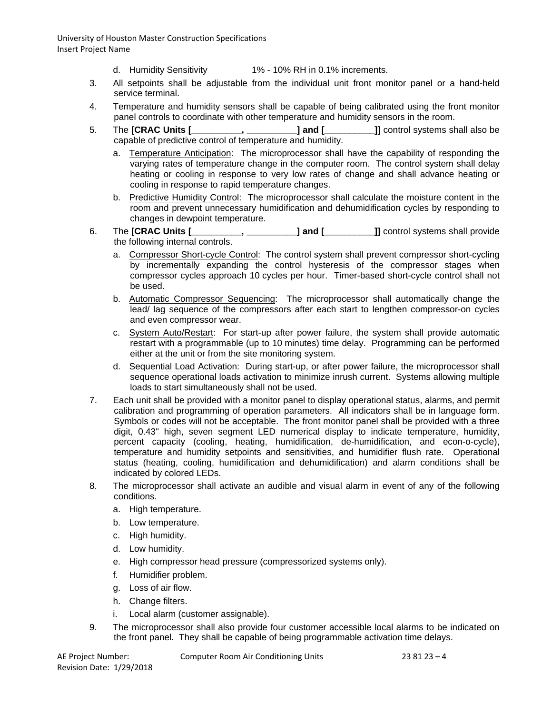University of Houston Master Construction Specifications Insert Project Name

- d. Humidity Sensitivity 1% 10% RH in 0.1% increments.
- 3. All setpoints shall be adjustable from the individual unit front monitor panel or a hand-held service terminal.
- 4. Temperature and humidity sensors shall be capable of being calibrated using the front monitor panel controls to coordinate with other temperature and humidity sensors in the room.
- 5. The **[CRAC Units [\_\_\_\_\_\_\_\_\_\_, \_\_\_\_\_\_\_\_\_\_] and [\_\_\_\_\_\_\_\_\_\_]]** control systems shall also be capable of predictive control of temperature and humidity.
	- a. Temperature Anticipation: The microprocessor shall have the capability of responding the varying rates of temperature change in the computer room. The control system shall delay heating or cooling in response to very low rates of change and shall advance heating or cooling in response to rapid temperature changes.
	- b. Predictive Humidity Control: The microprocessor shall calculate the moisture content in the room and prevent unnecessary humidification and dehumidification cycles by responding to changes in dewpoint temperature.
- 6. The **[CRAC Units [\_\_\_\_\_\_\_\_\_\_, \_\_\_\_\_\_\_\_\_\_] and [\_\_\_\_\_\_\_\_\_\_]]** control systems shall provide the following internal controls.
	- a. Compressor Short-cycle Control: The control system shall prevent compressor short-cycling by incrementally expanding the control hysteresis of the compressor stages when compressor cycles approach 10 cycles per hour. Timer-based short-cycle control shall not be used.
	- b. Automatic Compressor Sequencing: The microprocessor shall automatically change the lead/ lag sequence of the compressors after each start to lengthen compressor-on cycles and even compressor wear.
	- c. System Auto/Restart: For start-up after power failure, the system shall provide automatic restart with a programmable (up to 10 minutes) time delay. Programming can be performed either at the unit or from the site monitoring system.
	- d. Sequential Load Activation: During start-up, or after power failure, the microprocessor shall sequence operational loads activation to minimize inrush current. Systems allowing multiple loads to start simultaneously shall not be used.
- 7. Each unit shall be provided with a monitor panel to display operational status, alarms, and permit calibration and programming of operation parameters. All indicators shall be in language form. Symbols or codes will not be acceptable. The front monitor panel shall be provided with a three digit, 0.43" high, seven segment LED numerical display to indicate temperature, humidity, percent capacity (cooling, heating, humidification, de-humidification, and econ-o-cycle), temperature and humidity setpoints and sensitivities, and humidifier flush rate. Operational status (heating, cooling, humidification and dehumidification) and alarm conditions shall be indicated by colored LEDs.
- 8. The microprocessor shall activate an audible and visual alarm in event of any of the following conditions.
	- a. High temperature.
	- b. Low temperature.
	- c. High humidity.
	- d. Low humidity.
	- e. High compressor head pressure (compressorized systems only).
	- f. Humidifier problem.
	- g. Loss of air flow.
	- h. Change filters.
	- i. Local alarm (customer assignable).
- 9. The microprocessor shall also provide four customer accessible local alarms to be indicated on the front panel. They shall be capable of being programmable activation time delays.

Revision Date: 1/29/2018

AE Project Number: Computer Room Air Conditioning Units 23 81 23 – 4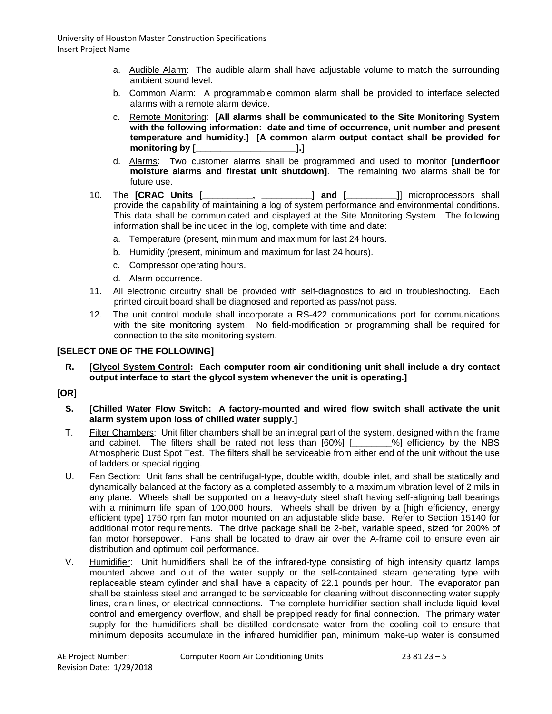- a. Audible Alarm: The audible alarm shall have adjustable volume to match the surrounding ambient sound level.
- b. Common Alarm: A programmable common alarm shall be provided to interface selected alarms with a remote alarm device.
- c. Remote Monitoring: **[All alarms shall be communicated to the Site Monitoring System with the following information: date and time of occurrence, unit number and present temperature and humidity.] [A common alarm output contact shall be provided for monitoring by [\_\_\_\_\_\_\_\_\_\_\_\_\_\_\_\_\_\_\_\_].]**
- d. Alarms: Two customer alarms shall be programmed and used to monitor **[underfloor moisture alarms and firestat unit shutdown]**. The remaining two alarms shall be for future use.
- 10. The **[CRAC Units [\_\_\_\_\_\_\_\_\_\_, \_\_\_\_\_\_\_\_\_\_] and [\_\_\_\_\_\_\_\_\_\_]**] microprocessors shall provide the capability of maintaining a log of system performance and environmental conditions. This data shall be communicated and displayed at the Site Monitoring System. The following information shall be included in the log, complete with time and date:
	- a. Temperature (present, minimum and maximum for last 24 hours.
	- b. Humidity (present, minimum and maximum for last 24 hours).
	- c. Compressor operating hours.
	- d. Alarm occurrence.
- 11. All electronic circuitry shall be provided with self-diagnostics to aid in troubleshooting. Each printed circuit board shall be diagnosed and reported as pass/not pass.
- 12. The unit control module shall incorporate a RS-422 communications port for communications with the site monitoring system. No field-modification or programming shall be required for connection to the site monitoring system.

## **[SELECT ONE OF THE FOLLOWING]**

**R. [Glycol System Control: Each computer room air conditioning unit shall include a dry contact output interface to start the glycol system whenever the unit is operating.]**

# **[OR]**

- **S. [Chilled Water Flow Switch: A factory-mounted and wired flow switch shall activate the unit alarm system upon loss of chilled water supply.]**
- T. Filter Chambers: Unit filter chambers shall be an integral part of the system, designed within the frame and cabinet. The filters shall be rated not less than [60%] [\_\_\_\_\_\_\_%] efficiency by the NBS Atmospheric Dust Spot Test. The filters shall be serviceable from either end of the unit without the use of ladders or special rigging.
- U. Fan Section: Unit fans shall be centrifugal-type, double width, double inlet, and shall be statically and dynamically balanced at the factory as a completed assembly to a maximum vibration level of 2 mils in any plane. Wheels shall be supported on a heavy-duty steel shaft having self-aligning ball bearings with a minimum life span of 100,000 hours. Wheels shall be driven by a [high efficiency, energy efficient type] 1750 rpm fan motor mounted on an adjustable slide base. Refer to Section 15140 for additional motor requirements. The drive package shall be 2-belt, variable speed, sized for 200% of fan motor horsepower. Fans shall be located to draw air over the A-frame coil to ensure even air distribution and optimum coil performance.
- V. Humidifier: Unit humidifiers shall be of the infrared-type consisting of high intensity quartz lamps mounted above and out of the water supply or the self-contained steam generating type with replaceable steam cylinder and shall have a capacity of 22.1 pounds per hour. The evaporator pan shall be stainless steel and arranged to be serviceable for cleaning without disconnecting water supply lines, drain lines, or electrical connections. The complete humidifier section shall include liquid level control and emergency overflow, and shall be prepiped ready for final connection. The primary water supply for the humidifiers shall be distilled condensate water from the cooling coil to ensure that minimum deposits accumulate in the infrared humidifier pan, minimum make-up water is consumed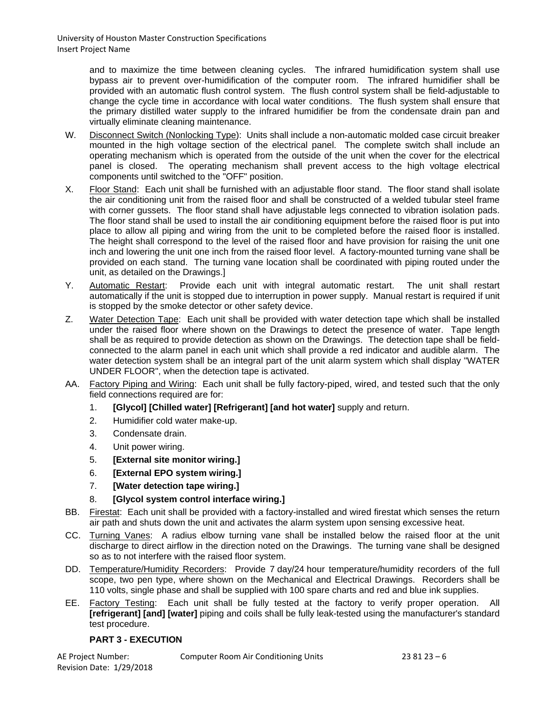and to maximize the time between cleaning cycles. The infrared humidification system shall use bypass air to prevent over-humidification of the computer room. The infrared humidifier shall be provided with an automatic flush control system. The flush control system shall be field-adjustable to change the cycle time in accordance with local water conditions. The flush system shall ensure that the primary distilled water supply to the infrared humidifier be from the condensate drain pan and virtually eliminate cleaning maintenance.

- W. Disconnect Switch (Nonlocking Type): Units shall include a non-automatic molded case circuit breaker mounted in the high voltage section of the electrical panel. The complete switch shall include an operating mechanism which is operated from the outside of the unit when the cover for the electrical panel is closed. The operating mechanism shall prevent access to the high voltage electrical components until switched to the "OFF" position.
- X. Floor Stand: Each unit shall be furnished with an adjustable floor stand. The floor stand shall isolate the air conditioning unit from the raised floor and shall be constructed of a welded tubular steel frame with corner gussets. The floor stand shall have adjustable legs connected to vibration isolation pads. The floor stand shall be used to install the air conditioning equipment before the raised floor is put into place to allow all piping and wiring from the unit to be completed before the raised floor is installed. The height shall correspond to the level of the raised floor and have provision for raising the unit one inch and lowering the unit one inch from the raised floor level. A factory-mounted turning vane shall be provided on each stand. The turning vane location shall be coordinated with piping routed under the unit, as detailed on the Drawings.]
- Y. Automatic Restart: Provide each unit with integral automatic restart. The unit shall restart automatically if the unit is stopped due to interruption in power supply. Manual restart is required if unit is stopped by the smoke detector or other safety device.
- Z. Water Detection Tape: Each unit shall be provided with water detection tape which shall be installed under the raised floor where shown on the Drawings to detect the presence of water. Tape length shall be as required to provide detection as shown on the Drawings. The detection tape shall be fieldconnected to the alarm panel in each unit which shall provide a red indicator and audible alarm. The water detection system shall be an integral part of the unit alarm system which shall display "WATER UNDER FLOOR", when the detection tape is activated.
- AA. Factory Piping and Wiring: Each unit shall be fully factory-piped, wired, and tested such that the only field connections required are for:
	- 1. **[Glycol] [Chilled water] [Refrigerant] [and hot water]** supply and return.
	- 2. Humidifier cold water make-up.
	- 3. Condensate drain.
	- 4. Unit power wiring.
	- 5. **[External site monitor wiring.]**
	- 6. **[External EPO system wiring.]**
	- 7. **[Water detection tape wiring.]**
	- 8. **[Glycol system control interface wiring.]**
- BB. Firestat: Each unit shall be provided with a factory-installed and wired firestat which senses the return air path and shuts down the unit and activates the alarm system upon sensing excessive heat.
- CC. Turning Vanes: A radius elbow turning vane shall be installed below the raised floor at the unit discharge to direct airflow in the direction noted on the Drawings. The turning vane shall be designed so as to not interfere with the raised floor system.
- DD. Temperature/Humidity Recorders: Provide 7 day/24 hour temperature/humidity recorders of the full scope, two pen type, where shown on the Mechanical and Electrical Drawings. Recorders shall be 110 volts, single phase and shall be supplied with 100 spare charts and red and blue ink supplies.
- EE. Factory Testing: Each unit shall be fully tested at the factory to verify proper operation. All **[refrigerant] [and] [water]** piping and coils shall be fully leak-tested using the manufacturer's standard test procedure.

### **PART 3 - EXECUTION**

Revision Date: 1/29/2018

AE Project Number: Computer Room Air Conditioning Units 23 81 23 – 6